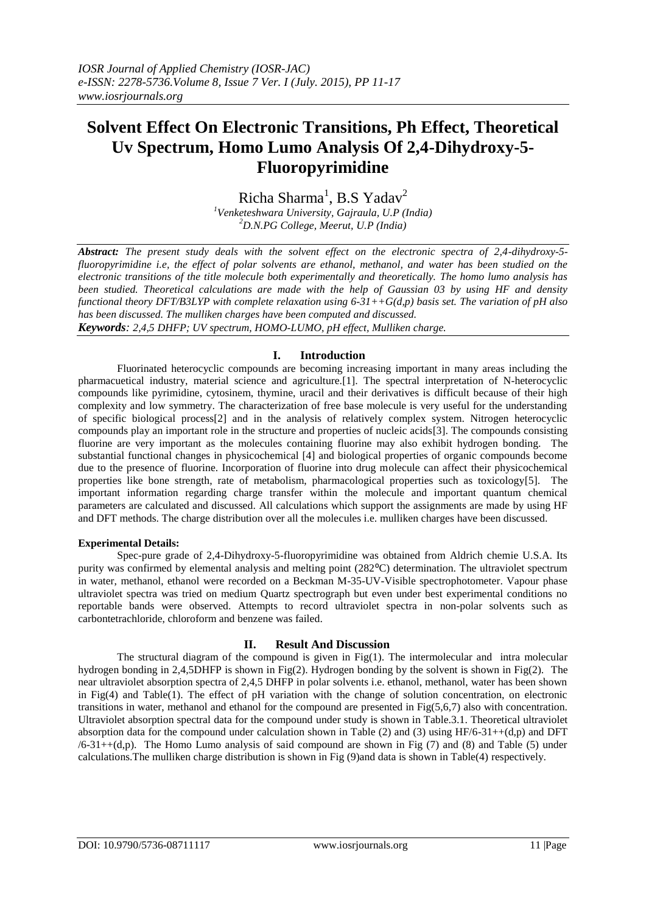# **Solvent Effect On Electronic Transitions, Ph Effect, Theoretical Uv Spectrum, Homo Lumo Analysis Of 2,4-Dihydroxy-5- Fluoropyrimidine**

 $Richard$ <sup>1</sup>, B.S Yadav<sup>2</sup> *<sup>1</sup>Venketeshwara University, Gajraula, U.P (India) <sup>2</sup>D.N.PG College, Meerut, U.P (India)*

*Abstract: The present study deals with the solvent effect on the electronic spectra of 2,4-dihydroxy-5 fluoropyrimidine i.e, the effect of polar solvents are ethanol, methanol, and water has been studied on the electronic transitions of the title molecule both experimentally and theoretically. The homo lumo analysis has been studied. Theoretical calculations are made with the help of Gaussian 03 by using HF and density functional theory DFT/B3LYP with complete relaxation using 6-31++G(d,p) basis set. The variation of pH also has been discussed. The mulliken charges have been computed and discussed.*

*Keywords: 2,4,5 DHFP; UV spectrum, HOMO-LUMO, pH effect, Mulliken charge.*

# **I. Introduction**

Fluorinated heterocyclic compounds are becoming increasing important in many areas including the pharmacuetical industry, material science and agriculture.[1]. The spectral interpretation of N-heterocyclic compounds like pyrimidine, cytosinem, thymine, uracil and their derivatives is difficult because of their high complexity and low symmetry. The characterization of free base molecule is very useful for the understanding of specific biological process[2] and in the analysis of relatively complex system. Nitrogen heterocyclic compounds play an important role in the structure and properties of nucleic acids[3]. The compounds consisting fluorine are very important as the molecules containing fluorine may also exhibit hydrogen bonding. The substantial functional changes in physicochemical [4] and biological properties of organic compounds become due to the presence of fluorine. Incorporation of fluorine into drug molecule can affect their physicochemical properties like bone strength, rate of metabolism, pharmacological properties such as toxicology[5]. The important information regarding charge transfer within the molecule and important quantum chemical parameters are calculated and discussed. All calculations which support the assignments are made by using HF and DFT methods. The charge distribution over all the molecules i.e. mulliken charges have been discussed.

# **Experimental Details:**

Spec-pure grade of 2,4-Dihydroxy-5-fluoropyrimidine was obtained from Aldrich chemie U.S.A. Its purity was confirmed by elemental analysis and melting point (282<sup>o</sup>C) determination. The ultraviolet spectrum in water, methanol, ethanol were recorded on a Beckman M-35-UV-Visible spectrophotometer. Vapour phase ultraviolet spectra was tried on medium Quartz spectrograph but even under best experimental conditions no reportable bands were observed. Attempts to record ultraviolet spectra in non-polar solvents such as carbontetrachloride, chloroform and benzene was failed.

# **II. Result And Discussion**

The structural diagram of the compound is given in  $Fig(1)$ . The intermolecular and intra molecular hydrogen bonding in 2,4,5DHFP is shown in Fig(2). Hydrogen bonding by the solvent is shown in Fig(2). The near ultraviolet absorption spectra of 2,4,5 DHFP in polar solvents i.e. ethanol, methanol, water has been shown in Fig(4) and Table(1). The effect of pH variation with the change of solution concentration, on electronic transitions in water, methanol and ethanol for the compound are presented in Fig(5,6,7) also with concentration. Ultraviolet absorption spectral data for the compound under study is shown in Table.3.1. Theoretical ultraviolet absorption data for the compound under calculation shown in Table (2) and (3) using  $HF/6-31++(d,p)$  and DFT  $/6-31+((d,p))$ . The Homo Lumo analysis of said compound are shown in Fig (7) and (8) and Table (5) under calculations.The mulliken charge distribution is shown in Fig (9)and data is shown in Table(4) respectively.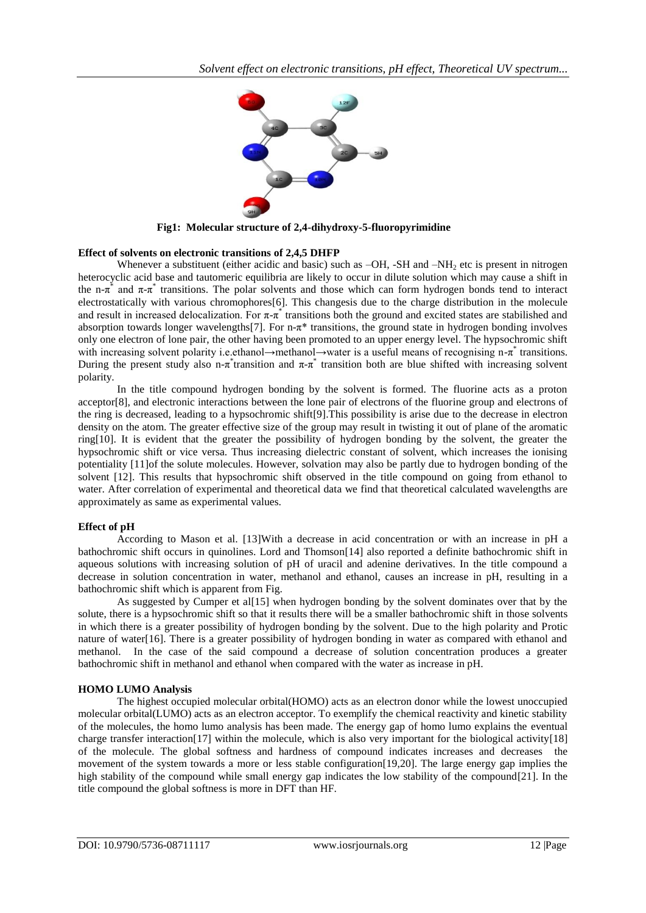

 **Fig1: Molecular structure of 2,4-dihydroxy-5-fluoropyrimidine**

# **Effect of solvents on electronic transitions of 2,4,5 DHFP**

Whenever a substituent (either acidic and basic) such as  $-OH$ , -SH and  $-NH<sub>2</sub>$  etc is present in nitrogen heterocyclic acid base and tautomeric equilibria are likely to occur in dilute solution which may cause a shift in the n- $\pi^*$  and  $\pi$ - $\pi^*$  transitions. The polar solvents and those which can form hydrogen bonds tend to interact electrostatically with various chromophores[6]. This changesis due to the charge distribution in the molecule and result in increased delocalization. For  $\pi$ - $\pi$ <sup>\*</sup> transitions both the ground and excited states are stabilished and absorption towards longer wavelengths[7]. For n-π\* transitions, the ground state in hydrogen bonding involves only one electron of lone pair, the other having been promoted to an upper energy level. The hypsochromic shift with increasing solvent polarity i.e.ethanol→methanol→water is a useful means of recognising n-π<sup>\*</sup> transitions. During the present study also n- $\pi$ <sup>\*</sup> transition and  $\pi$ - $\pi$ <sup>\*</sup> transition both are blue shifted with increasing solvent polarity.

In the title compound hydrogen bonding by the solvent is formed. The fluorine acts as a proton acceptor[8], and electronic interactions between the lone pair of electrons of the fluorine group and electrons of the ring is decreased, leading to a hypsochromic shift[9].This possibility is arise due to the decrease in electron density on the atom. The greater effective size of the group may result in twisting it out of plane of the aromatic ring[10]. It is evident that the greater the possibility of hydrogen bonding by the solvent, the greater the hypsochromic shift or vice versa. Thus increasing dielectric constant of solvent, which increases the ionising potentiality [11]of the solute molecules. However, solvation may also be partly due to hydrogen bonding of the solvent [12]. This results that hypsochromic shift observed in the title compound on going from ethanol to water. After correlation of experimental and theoretical data we find that theoretical calculated wavelengths are approximately as same as experimental values.

# **Effect of pH**

According to Mason et al. [13]With a decrease in acid concentration or with an increase in pH a bathochromic shift occurs in quinolines. Lord and Thomson[14] also reported a definite bathochromic shift in aqueous solutions with increasing solution of pH of uracil and adenine derivatives. In the title compound a decrease in solution concentration in water, methanol and ethanol, causes an increase in pH, resulting in a bathochromic shift which is apparent from Fig.

As suggested by Cumper et al[15] when hydrogen bonding by the solvent dominates over that by the solute, there is a hypsochromic shift so that it results there will be a smaller bathochromic shift in those solvents in which there is a greater possibility of hydrogen bonding by the solvent. Due to the high polarity and Protic nature of water[16]. There is a greater possibility of hydrogen bonding in water as compared with ethanol and methanol. In the case of the said compound a decrease of solution concentration produces a greater bathochromic shift in methanol and ethanol when compared with the water as increase in pH.

# **HOMO LUMO Analysis**

The highest occupied molecular orbital(HOMO) acts as an electron donor while the lowest unoccupied molecular orbital(LUMO) acts as an electron acceptor. To exemplify the chemical reactivity and kinetic stability of the molecules, the homo lumo analysis has been made. The energy gap of homo lumo explains the eventual charge transfer interaction[17] within the molecule, which is also very important for the biological activity[18] of the molecule. The global softness and hardness of compound indicates increases and decreases the movement of the system towards a more or less stable configuration[19,20]. The large energy gap implies the high stability of the compound while small energy gap indicates the low stability of the compound[21]. In the title compound the global softness is more in DFT than HF.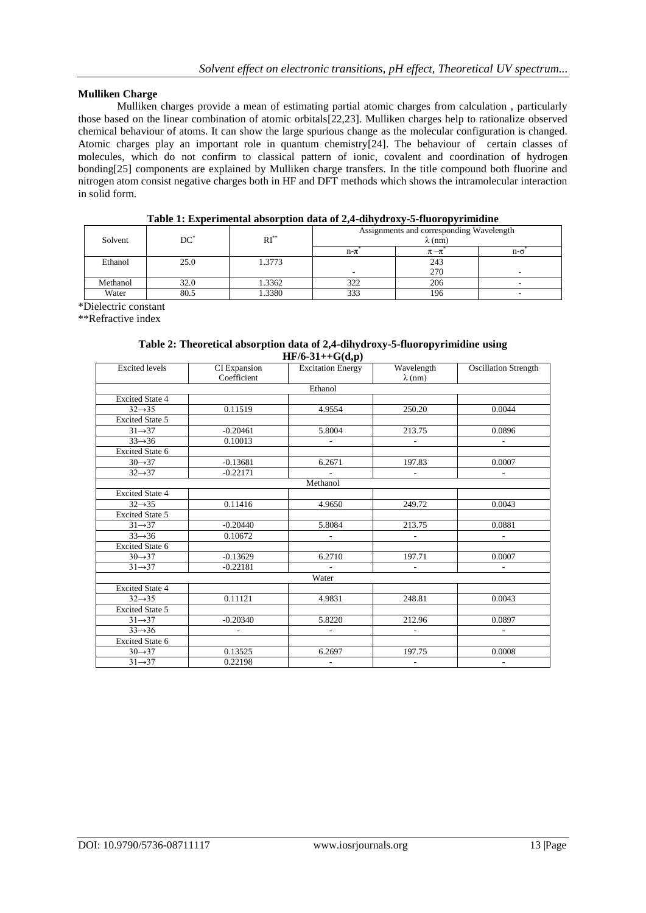# **Mulliken Charge**

Mulliken charges provide a mean of estimating partial atomic charges from calculation , particularly those based on the linear combination of atomic orbitals[22,23]. Mulliken charges help to rationalize observed chemical behaviour of atoms. It can show the large spurious change as the molecular configuration is changed. Atomic charges play an important role in quantum chemistry[24]. The behaviour of certain classes of molecules, which do not confirm to classical pattern of ionic, covalent and coordination of hydrogen bonding[25] components are explained by Mulliken charge transfers. In the title compound both fluorine and nitrogen atom consist negative charges both in HF and DFT methods which shows the intramolecular interaction in solid form.

| Solvent  | DС   | $RI^*$ | Assignments and corresponding Wavelength<br>$\lambda$ (nm) |           |            |
|----------|------|--------|------------------------------------------------------------|-----------|------------|
|          |      |        | $n - \pi$                                                  | $\pi-\pi$ | $n-\sigma$ |
| Ethanol  | 25.0 | 1.3773 |                                                            | 243       |            |
|          |      |        | $\overline{\phantom{0}}$                                   | 270       | -          |
| Methanol | 32.0 | 1.3362 | 322                                                        | 206       |            |
| Water    | 80.5 | .3380  | 333                                                        | 196       |            |

# **Table 1: Experimental absorption data of 2,4-dihydroxy-5-fluoropyrimidine**

\*Dielectric constant

\*\*Refractive index

#### **Table 2: Theoretical absorption data of 2,4-dihydroxy-5-fluoropyrimidine using HF/6-31++G(d,p)**

| <b>Excited</b> levels  | CI Expansion<br>Coefficient | $-1$<br><b>Excitation Energy</b> | Wavelength<br>$\lambda$ (nm) | <b>Oscillation Strength</b> |
|------------------------|-----------------------------|----------------------------------|------------------------------|-----------------------------|
|                        |                             | Ethanol                          |                              |                             |
| <b>Excited State 4</b> |                             |                                  |                              |                             |
| $32 \rightarrow 35$    | 0.11519                     | 4.9554                           | 250.20                       | 0.0044                      |
| <b>Excited State 5</b> |                             |                                  |                              |                             |
| $31 \rightarrow 37$    | $-0.20461$                  | 5.8004                           | 213.75                       | 0.0896                      |
| $33 \rightarrow 36$    | 0.10013                     | ÷.                               | $\overline{a}$               |                             |
| <b>Excited State 6</b> |                             |                                  |                              |                             |
| $30 \rightarrow 37$    | $-0.13681$                  | 6.2671                           | 197.83                       | 0.0007                      |
| $32 \rightarrow 37$    | $-0.22171$                  |                                  | $\overline{\phantom{a}}$     |                             |
|                        |                             | Methanol                         |                              |                             |
| <b>Excited State 4</b> |                             |                                  |                              |                             |
| $32 \rightarrow 35$    | 0.11416                     | 4.9650                           | 249.72                       | 0.0043                      |
| <b>Excited State 5</b> |                             |                                  |                              |                             |
| $31 \rightarrow 37$    | $-0.20440$                  | 5.8084                           | 213.75                       | 0.0881                      |
| $33 \rightarrow 36$    | 0.10672                     | $\overline{a}$                   |                              | ٠                           |
| <b>Excited State 6</b> |                             |                                  |                              |                             |
| $30 \rightarrow 37$    | $-0.13629$                  | 6.2710                           | 197.71                       | 0.0007                      |
| $31 \rightarrow 37$    | $-0.22181$                  | $\sim$                           |                              |                             |
| Water                  |                             |                                  |                              |                             |
| <b>Excited State 4</b> |                             |                                  |                              |                             |
| $32 \rightarrow 35$    | 0.11121                     | 4.9831                           | 248.81                       | 0.0043                      |
| <b>Excited State 5</b> |                             |                                  |                              |                             |
| $31 \rightarrow 37$    | $-0.20340$                  | 5.8220                           | 212.96                       | 0.0897                      |
| $33 \rightarrow 36$    | ÷.                          | ÷.                               | $\overline{\phantom{a}}$     | $\overline{\phantom{a}}$    |
| <b>Excited State 6</b> |                             |                                  |                              |                             |
| $30 \rightarrow 37$    | 0.13525                     | 6.2697                           | 197.75                       | 0.0008                      |
| $31 \rightarrow 37$    | 0.22198                     | ٠                                | $\overline{\phantom{a}}$     | ٠                           |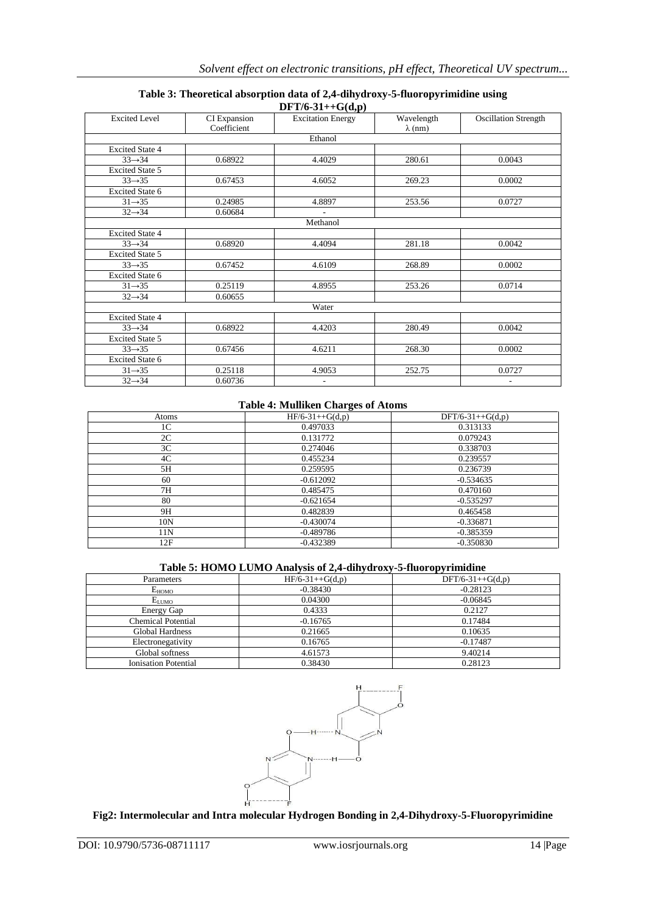| $DFT/6-31++G(d,p)$     |                             |                          |                              |                             |
|------------------------|-----------------------------|--------------------------|------------------------------|-----------------------------|
| <b>Excited Level</b>   | CI Expansion<br>Coefficient | <b>Excitation Energy</b> | Wavelength<br>$\lambda$ (nm) | <b>Oscillation Strength</b> |
|                        |                             | Ethanol                  |                              |                             |
| <b>Excited State 4</b> |                             |                          |                              |                             |
| $33 \rightarrow 34$    | 0.68922                     | 4.4029                   | 280.61                       | 0.0043                      |
| <b>Excited State 5</b> |                             |                          |                              |                             |
| $33 \rightarrow 35$    | 0.67453                     | 4.6052                   | 269.23                       | 0.0002                      |
| <b>Excited State 6</b> |                             |                          |                              |                             |
| $31 \rightarrow 35$    | 0.24985                     | 4.8897                   | 253.56                       | 0.0727                      |
| $32 \rightarrow 34$    | 0.60684                     |                          |                              |                             |
|                        |                             | Methanol                 |                              |                             |
| <b>Excited State 4</b> |                             |                          |                              |                             |
| $33 \rightarrow 34$    | 0.68920                     | 4.4094                   | 281.18                       | 0.0042                      |
| <b>Excited State 5</b> |                             |                          |                              |                             |
| $33 \rightarrow 35$    | 0.67452                     | 4.6109                   | 268.89                       | 0.0002                      |
| <b>Excited State 6</b> |                             |                          |                              |                             |
| $31 \rightarrow 35$    | 0.25119                     | 4.8955                   | 253.26                       | 0.0714                      |
| $32 \rightarrow 34$    | 0.60655                     |                          |                              |                             |
|                        |                             | Water                    |                              |                             |
| <b>Excited State 4</b> |                             |                          |                              |                             |
| $33 \rightarrow 34$    | 0.68922                     | 4.4203                   | 280.49                       | 0.0042                      |
| <b>Excited State 5</b> |                             |                          |                              |                             |
| $33 \rightarrow 35$    | 0.67456                     | 4.6211                   | 268.30                       | 0.0002                      |
| <b>Excited State 6</b> |                             |                          |                              |                             |
| $31 \rightarrow 35$    | 0.25118                     | 4.9053                   | 252.75                       | 0.0727                      |
| $32 \rightarrow 34$    | 0.60736                     | ÷                        |                              | ۰                           |

# **Table 3: Theoretical absorption data of 2,4-dihydroxy-5-fluoropyrimidine using**

# **Table 4: Mulliken Charges of Atoms**

| Atoms          | -<br>$HF/6-31++G(d,p)$ | $DFT/6-31++G(d,p)$ |
|----------------|------------------------|--------------------|
| 1 <sup>C</sup> | 0.497033               | 0.313133           |
| 2C             | 0.131772               | 0.079243           |
| 3C             | 0.274046               | 0.338703           |
| 4C             | 0.455234               | 0.239557           |
| 5H             | 0.259595               | 0.236739           |
| 60             | $-0.612092$            | $-0.534635$        |
| 7H             | 0.485475               | 0.470160           |
| 80             | $-0.621654$            | $-0.535297$        |
| 9H             | 0.482839               | 0.465458           |
| 10N            | $-0.430074$            | $-0.336871$        |
| 11N            | $-0.489786$            | $-0.385359$        |
| 12F            | $-0.432389$            | $-0.350830$        |

# **Table 5: HOMO LUMO Analysis of 2,4-dihydroxy-5-fluoropyrimidine**

| Parameters                  | $HF/6-31++G(d,p)$ | $DFT/6-31++G(d,p)$ |
|-----------------------------|-------------------|--------------------|
| $E_{HOMO}$                  | $-0.38430$        | $-0.28123$         |
| $E_{LUMO}$                  | 0.04300           | $-0.06845$         |
| Energy Gap                  | 0.4333            | 0.2127             |
| <b>Chemical Potential</b>   | $-0.16765$        | 0.17484            |
| <b>Global Hardness</b>      | 0.21665           | 0.10635            |
| Electronegativity           | 0.16765           | $-0.17487$         |
| Global softness             | 4.61573           | 9.40214            |
| <b>Ionisation Potential</b> | 0.38430           | 0.28123            |



# **Fig2: Intermolecular and Intra molecular Hydrogen Bonding in 2,4-Dihydroxy-5-Fluoropyrimidine**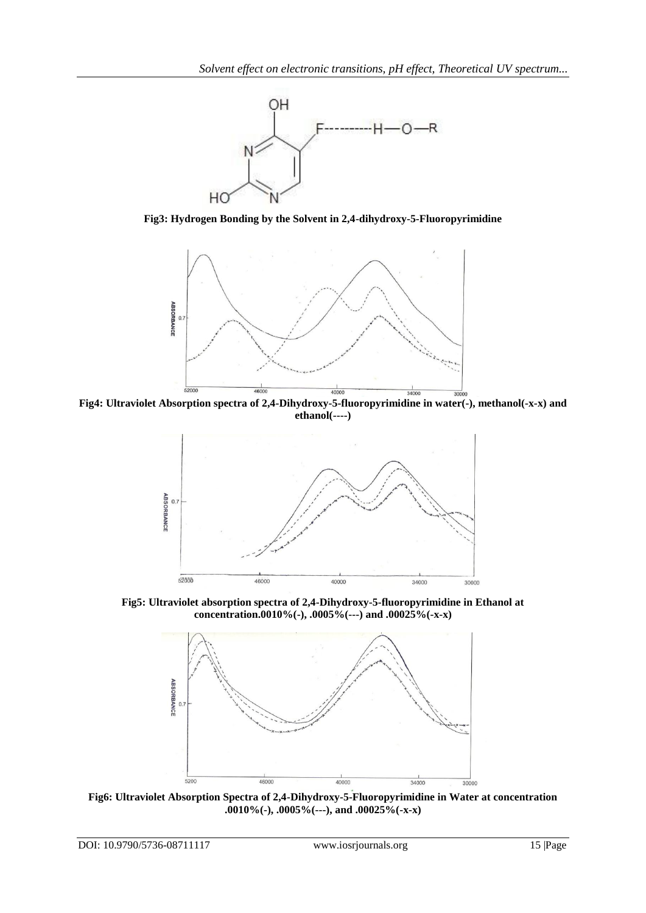

**Fig3: Hydrogen Bonding by the Solvent in 2,4-dihydroxy-5-Fluoropyrimidine**



**Fig4: Ultraviolet Absorption spectra of 2,4-Dihydroxy-5-fluoropyrimidine in water(-), methanol(-x-x) and ethanol(----)**



**Fig5: Ultraviolet absorption spectra of 2,4-Dihydroxy-5-fluoropyrimidine in Ethanol at concentration.0010%(-), .0005%(---) and .00025%(-x-x)**



**Fig6: Ultraviolet Absorption Spectra of 2,4-Dihydroxy-5-Fluoropyrimidine in Water at concentration .0010%(-), .0005%(---), and .00025%(-x-x)**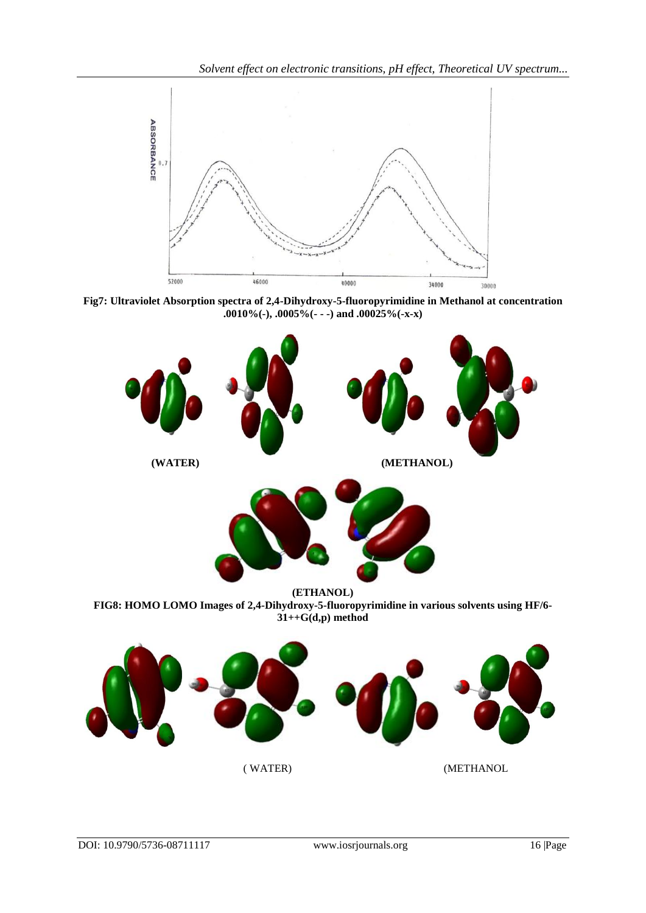

**Fig7: Ultraviolet Absorption spectra of 2,4-Dihydroxy-5-fluoropyrimidine in Methanol at concentration .0010%(-), .0005%(- - -) and .00025%(-x-x)** 



**FIG8: HOMO LOMO Images of 2,4-Dihydroxy-5-fluoropyrimidine in various solvents using HF/6- 31++G(d,p) method**